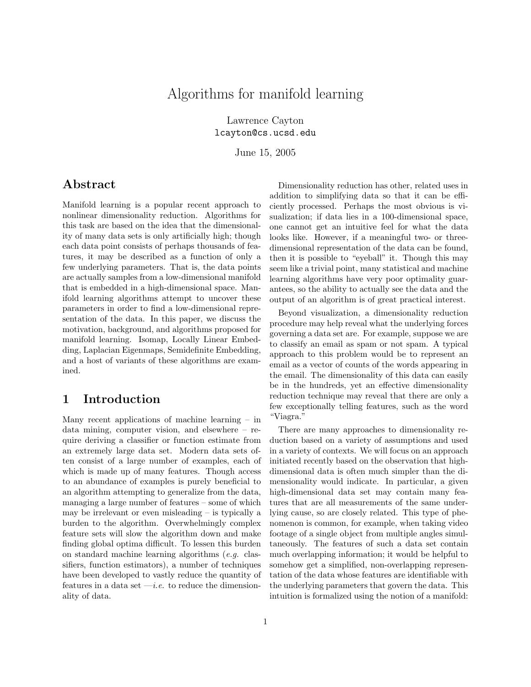# Algorithms for manifold learning

Lawrence Cayton lcayton@cs.ucsd.edu

June 15, 2005

## Abstract

Manifold learning is a popular recent approach to nonlinear dimensionality reduction. Algorithms for this task are based on the idea that the dimensionality of many data sets is only artificially high; though each data point consists of perhaps thousands of features, it may be described as a function of only a few underlying parameters. That is, the data points are actually samples from a low-dimensional manifold that is embedded in a high-dimensional space. Manifold learning algorithms attempt to uncover these parameters in order to find a low-dimensional representation of the data. In this paper, we discuss the motivation, background, and algorithms proposed for manifold learning. Isomap, Locally Linear Embedding, Laplacian Eigenmaps, Semidefinite Embedding, and a host of variants of these algorithms are examined.

## 1 Introduction

Many recent applications of machine learning – in data mining, computer vision, and elsewhere – require deriving a classifier or function estimate from an extremely large data set. Modern data sets often consist of a large number of examples, each of which is made up of many features. Though access to an abundance of examples is purely beneficial to an algorithm attempting to generalize from the data, managing a large number of features – some of which may be irrelevant or even misleading – is typically a burden to the algorithm. Overwhelmingly complex feature sets will slow the algorithm down and make finding global optima difficult. To lessen this burden on standard machine learning algorithms (e.g. classifiers, function estimators), a number of techniques have been developed to vastly reduce the quantity of features in a data set  $-i.e.$  to reduce the dimensionality of data.

Dimensionality reduction has other, related uses in addition to simplifying data so that it can be efficiently processed. Perhaps the most obvious is visualization; if data lies in a 100-dimensional space, one cannot get an intuitive feel for what the data looks like. However, if a meaningful two- or threedimensional representation of the data can be found, then it is possible to "eyeball" it. Though this may seem like a trivial point, many statistical and machine learning algorithms have very poor optimality guarantees, so the ability to actually see the data and the output of an algorithm is of great practical interest.

Beyond visualization, a dimensionality reduction procedure may help reveal what the underlying forces governing a data set are. For example, suppose we are to classify an email as spam or not spam. A typical approach to this problem would be to represent an email as a vector of counts of the words appearing in the email. The dimensionality of this data can easily be in the hundreds, yet an effective dimensionality reduction technique may reveal that there are only a few exceptionally telling features, such as the word "Viagra."

There are many approaches to dimensionality reduction based on a variety of assumptions and used in a variety of contexts. We will focus on an approach initiated recently based on the observation that highdimensional data is often much simpler than the dimensionality would indicate. In particular, a given high-dimensional data set may contain many features that are all measurements of the same underlying cause, so are closely related. This type of phenomenon is common, for example, when taking video footage of a single object from multiple angles simultaneously. The features of such a data set contain much overlapping information; it would be helpful to somehow get a simplified, non-overlapping representation of the data whose features are identifiable with the underlying parameters that govern the data. This intuition is formalized using the notion of a manifold: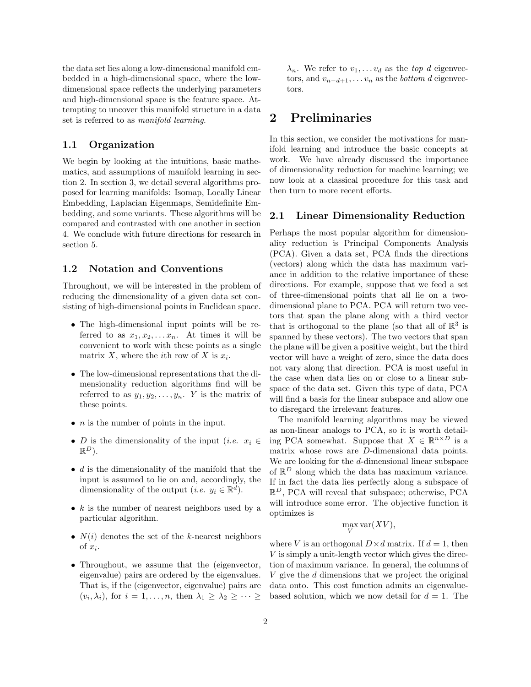the data set lies along a low-dimensional manifold embedded in a high-dimensional space, where the lowdimensional space reflects the underlying parameters and high-dimensional space is the feature space. Attempting to uncover this manifold structure in a data set is referred to as manifold learning.

## 1.1 Organization

We begin by looking at the intuitions, basic mathematics, and assumptions of manifold learning in section 2. In section 3, we detail several algorithms proposed for learning manifolds: Isomap, Locally Linear Embedding, Laplacian Eigenmaps, Semidefinite Embedding, and some variants. These algorithms will be compared and contrasted with one another in section 4. We conclude with future directions for research in section 5.

### 1.2 Notation and Conventions

Throughout, we will be interested in the problem of reducing the dimensionality of a given data set consisting of high-dimensional points in Euclidean space.

- The high-dimensional input points will be referred to as  $x_1, x_2, \ldots x_n$ . At times it will be convenient to work with these points as a single matrix X, where the *i*th row of X is  $x_i$ .
- The low-dimensional representations that the dimensionality reduction algorithms find will be referred to as  $y_1, y_2, \ldots, y_n$ . Y is the matrix of these points.
- $n$  is the number of points in the input.
- D is the dimensionality of the input (*i.e.*  $x_i \in$  $\mathbb{R}^D$ ).
- $d$  is the dimensionality of the manifold that the input is assumed to lie on and, accordingly, the dimensionality of the output (*i.e.*  $y_i \in \mathbb{R}^d$ ).
- $k$  is the number of nearest neighbors used by a particular algorithm.
- $N(i)$  denotes the set of the k-nearest neighbors of  $x_i$ .
- Throughout, we assume that the (eigenvector, eigenvalue) pairs are ordered by the eigenvalues. That is, if the (eigenvector, eigenvalue) pairs are  $(v_i, \lambda_i)$ , for  $i = 1, \ldots, n$ , then  $\lambda_1 \geq \lambda_2 \geq \cdots \geq$

 $\lambda_n$ . We refer to  $v_1, \ldots v_d$  as the top d eigenvectors, and  $v_{n-d+1}, \ldots v_n$  as the *bottom d* eigenvectors.

## 2 Preliminaries

In this section, we consider the motivations for manifold learning and introduce the basic concepts at work. We have already discussed the importance of dimensionality reduction for machine learning; we now look at a classical procedure for this task and then turn to more recent efforts.

## 2.1 Linear Dimensionality Reduction

Perhaps the most popular algorithm for dimensionality reduction is Principal Components Analysis (PCA). Given a data set, PCA finds the directions (vectors) along which the data has maximum variance in addition to the relative importance of these directions. For example, suppose that we feed a set of three-dimensional points that all lie on a twodimensional plane to PCA. PCA will return two vectors that span the plane along with a third vector that is orthogonal to the plane (so that all of  $\mathbb{R}^3$  is spanned by these vectors). The two vectors that span the plane will be given a positive weight, but the third vector will have a weight of zero, since the data does not vary along that direction. PCA is most useful in the case when data lies on or close to a linear subspace of the data set. Given this type of data, PCA will find a basis for the linear subspace and allow one to disregard the irrelevant features.

The manifold learning algorithms may be viewed as non-linear analogs to PCA, so it is worth detailing PCA somewhat. Suppose that  $X \in \mathbb{R}^{n \times D}$  is a matrix whose rows are D-dimensional data points. We are looking for the d-dimensional linear subspace of  $\mathbb{R}^D$  along which the data has maximum variance. If in fact the data lies perfectly along a subspace of  $\mathbb{R}^D$ , PCA will reveal that subspace; otherwise, PCA will introduce some error. The objective function it optimizes is

# $\max_{V} \text{var}(XV),$

where V is an orthogonal  $D \times d$  matrix. If  $d = 1$ , then V is simply a unit-length vector which gives the direction of maximum variance. In general, the columns of V give the d dimensions that we project the original data onto. This cost function admits an eigenvaluebased solution, which we now detail for  $d = 1$ . The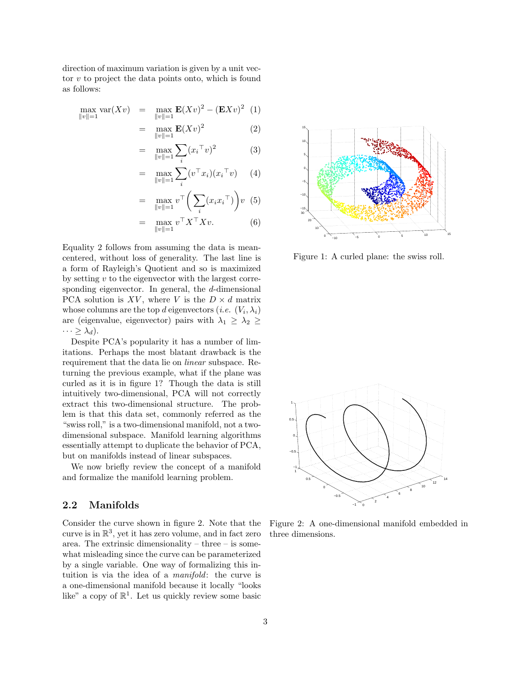direction of maximum variation is given by a unit vector  $v$  to project the data points onto, which is found as follows:

$$
\max_{\|v\|=1} \text{var}(Xv) = \max_{\|v\|=1} \mathbf{E}(Xv)^2 - (\mathbf{E}Xv)^2 \tag{1}
$$

$$
= \max_{\|v\|=1} \mathbf{E}(Xv)^2 \tag{2}
$$

$$
= \max_{\|v\|=1} \sum_{i} (x_i^\top v)^2 \tag{3}
$$

$$
= \max_{\|v\|=1} \sum_{i}^{i} (v^{\top} x_i)(x_i^{\top} v) \qquad (4)
$$

$$
= \max_{\|v\|=1} v^{\top} \bigg(\sum_{i} (x_i x_i^{\top})\bigg) v \tag{5}
$$

$$
= \max_{\|v\|=1} v^\top X^\top X v. \tag{6}
$$

Equality 2 follows from assuming the data is meancentered, without loss of generality. The last line is a form of Rayleigh's Quotient and so is maximized by setting v to the eigenvector with the largest corresponding eigenvector. In general, the d-dimensional PCA solution is XV, where V is the  $D \times d$  matrix whose columns are the top d eigenvectors (*i.e.*  $(V_i, \lambda_i)$ ) are (eigenvalue, eigenvector) pairs with  $\lambda_1 \geq \lambda_2 \geq$  $\cdots \geq \lambda_d$ ).

Despite PCA's popularity it has a number of limitations. Perhaps the most blatant drawback is the requirement that the data lie on linear subspace. Returning the previous example, what if the plane was curled as it is in figure 1? Though the data is still intuitively two-dimensional, PCA will not correctly extract this two-dimensional structure. The problem is that this data set, commonly referred as the "swiss roll," is a two-dimensional manifold, not a twodimensional subspace. Manifold learning algorithms essentially attempt to duplicate the behavior of PCA, but on manifolds instead of linear subspaces.

We now briefly review the concept of a manifold and formalize the manifold learning problem.

### 2.2 Manifolds

Consider the curve shown in figure 2. Note that the curve is in  $\mathbb{R}^3$ , yet it has zero volume, and in fact zero area. The extrinsic dimensionality – three – is somewhat misleading since the curve can be parameterized by a single variable. One way of formalizing this intuition is via the idea of a manifold: the curve is a one-dimensional manifold because it locally "looks like" a copy of  $\mathbb{R}^1$ . Let us quickly review some basic



Figure 1: A curled plane: the swiss roll.



Figure 2: A one-dimensional manifold embedded in three dimensions.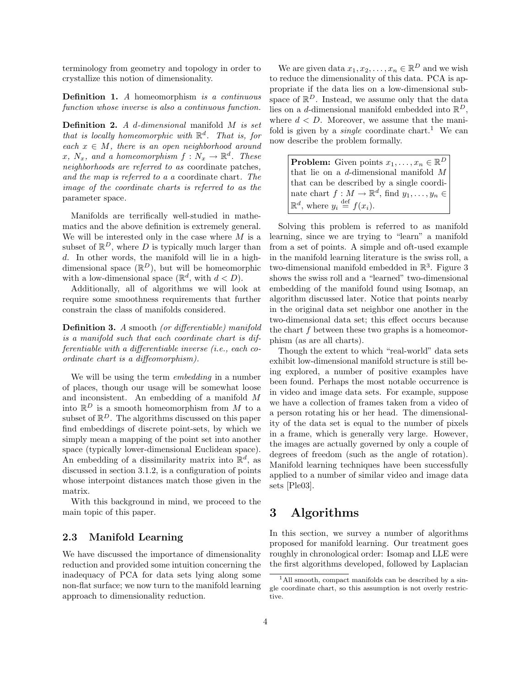terminology from geometry and topology in order to crystallize this notion of dimensionality.

Definition 1. A homeomorphism is a continuous function whose inverse is also a continuous function.

**Definition 2.** A d-dimensional manifold  $M$  is set that is locally homeomorphic with  $\mathbb{R}^d$ . That is, for each  $x \in M$ , there is an open neighborhood around  $x, N_x, and a homeomorphism f: N_x \to \mathbb{R}^d$ . These neighborhoods are referred to as coordinate patches, and the map is referred to a a coordinate chart. The image of the coordinate charts is referred to as the parameter space.

Manifolds are terrifically well-studied in mathematics and the above definition is extremely general. We will be interested only in the case where  $M$  is a subset of  $\mathbb{R}^D$ , where D is typically much larger than d. In other words, the manifold will lie in a highdimensional space  $(\mathbb{R}^D)$ , but will be homeomorphic with a low-dimensional space  $(\mathbb{R}^d, \text{ with } d < D)$ .

Additionally, all of algorithms we will look at require some smoothness requirements that further constrain the class of manifolds considered.

Definition 3. A smooth (or differentiable) manifold is a manifold such that each coordinate chart is differentiable with a differentiable inverse (i.e., each coordinate chart is a diffeomorphism).

We will be using the term *embedding* in a number of places, though our usage will be somewhat loose and inconsistent. An embedding of a manifold M into  $\mathbb{R}^D$  is a smooth homeomorphism from M to a subset of  $\mathbb{R}^D$ . The algorithms discussed on this paper find embeddings of discrete point-sets, by which we simply mean a mapping of the point set into another space (typically lower-dimensional Euclidean space). An embedding of a dissimilarity matrix into  $\mathbb{R}^d$ , as discussed in section 3.1.2, is a configuration of points whose interpoint distances match those given in the matrix.

With this background in mind, we proceed to the main topic of this paper.

### 2.3 Manifold Learning

We have discussed the importance of dimensionality reduction and provided some intuition concerning the inadequacy of PCA for data sets lying along some non-flat surface; we now turn to the manifold learning approach to dimensionality reduction.

We are given data  $x_1, x_2, \ldots, x_n \in \mathbb{R}^D$  and we wish to reduce the dimensionality of this data. PCA is appropriate if the data lies on a low-dimensional subspace of  $\mathbb{R}^D$ . Instead, we assume only that the data lies on a *d*-dimensional manifold embedded into  $\mathbb{R}^D$ , where  $d < D$ . Moreover, we assume that the manifold is given by a *single* coordinate chart.<sup>1</sup> We can now describe the problem formally.

**Problem:** Given points  $x_1, \ldots, x_n \in \mathbb{R}^D$ that lie on a d-dimensional manifold M that can be described by a single coordinate chart  $f: M \to \mathbb{R}^d$ , find  $y_1, \ldots, y_n \in$  $\mathbb{R}^d$ , where  $y_i \stackrel{\text{def}}{=} f(x_i)$ .

Solving this problem is referred to as manifold learning, since we are trying to "learn" a manifold from a set of points. A simple and oft-used example in the manifold learning literature is the swiss roll, a two-dimensional manifold embedded in  $\mathbb{R}^3$ . Figure 3 shows the swiss roll and a "learned" two-dimensional embedding of the manifold found using Isomap, an algorithm discussed later. Notice that points nearby in the original data set neighbor one another in the two-dimensional data set; this effect occurs because the chart  $f$  between these two graphs is a homeomorphism (as are all charts).

Though the extent to which "real-world" data sets exhibit low-dimensional manifold structure is still being explored, a number of positive examples have been found. Perhaps the most notable occurrence is in video and image data sets. For example, suppose we have a collection of frames taken from a video of a person rotating his or her head. The dimensionality of the data set is equal to the number of pixels in a frame, which is generally very large. However, the images are actually governed by only a couple of degrees of freedom (such as the angle of rotation). Manifold learning techniques have been successfully applied to a number of similar video and image data sets [Ple03].

## 3 Algorithms

In this section, we survey a number of algorithms proposed for manifold learning. Our treatment goes roughly in chronological order: Isomap and LLE were the first algorithms developed, followed by Laplacian

<sup>&</sup>lt;sup>1</sup>All smooth, compact manifolds can be described by a single coordinate chart, so this assumption is not overly restrictive.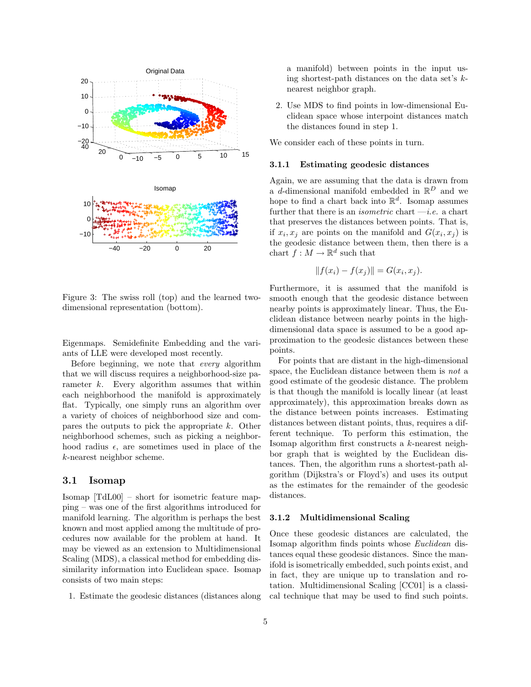

Figure 3: The swiss roll (top) and the learned twodimensional representation (bottom).

Eigenmaps. Semidefinite Embedding and the variants of LLE were developed most recently.

Before beginning, we note that every algorithm that we will discuss requires a neighborhood-size parameter k. Every algorithm assumes that within each neighborhood the manifold is approximately flat. Typically, one simply runs an algorithm over a variety of choices of neighborhood size and compares the outputs to pick the appropriate k. Other neighborhood schemes, such as picking a neighborhood radius  $\epsilon$ , are sometimes used in place of the k-nearest neighbor scheme.

### 3.1 Isomap

Isomap [TdL00] – short for isometric feature mapping – was one of the first algorithms introduced for manifold learning. The algorithm is perhaps the best known and most applied among the multitude of procedures now available for the problem at hand. It may be viewed as an extension to Multidimensional Scaling (MDS), a classical method for embedding dissimilarity information into Euclidean space. Isomap consists of two main steps:

1. Estimate the geodesic distances (distances along

a manifold) between points in the input using shortest-path distances on the data set's knearest neighbor graph.

2. Use MDS to find points in low-dimensional Euclidean space whose interpoint distances match the distances found in step 1.

We consider each of these points in turn.

#### 3.1.1 Estimating geodesic distances

Again, we are assuming that the data is drawn from a *d*-dimensional manifold embedded in  $\mathbb{R}^D$  and we hope to find a chart back into  $\mathbb{R}^d$ . Isomap assumes further that there is an *isometric* chart  $-i.e.$  a chart that preserves the distances between points. That is, if  $x_i, x_j$  are points on the manifold and  $G(x_i, x_j)$  is the geodesic distance between them, then there is a chart  $f: M \to \mathbb{R}^d$  such that

$$
||f(x_i) - f(x_j)|| = G(x_i, x_j).
$$

Furthermore, it is assumed that the manifold is smooth enough that the geodesic distance between nearby points is approximately linear. Thus, the Euclidean distance between nearby points in the highdimensional data space is assumed to be a good approximation to the geodesic distances between these points.

For points that are distant in the high-dimensional space, the Euclidean distance between them is not a good estimate of the geodesic distance. The problem is that though the manifold is locally linear (at least approximately), this approximation breaks down as the distance between points increases. Estimating distances between distant points, thus, requires a different technique. To perform this estimation, the Isomap algorithm first constructs a k-nearest neighbor graph that is weighted by the Euclidean distances. Then, the algorithm runs a shortest-path algorithm (Dijkstra's or Floyd's) and uses its output as the estimates for the remainder of the geodesic distances.

#### 3.1.2 Multidimensional Scaling

Once these geodesic distances are calculated, the Isomap algorithm finds points whose Euclidean distances equal these geodesic distances. Since the manifold is isometrically embedded, such points exist, and in fact, they are unique up to translation and rotation. Multidimensional Scaling [CC01] is a classical technique that may be used to find such points.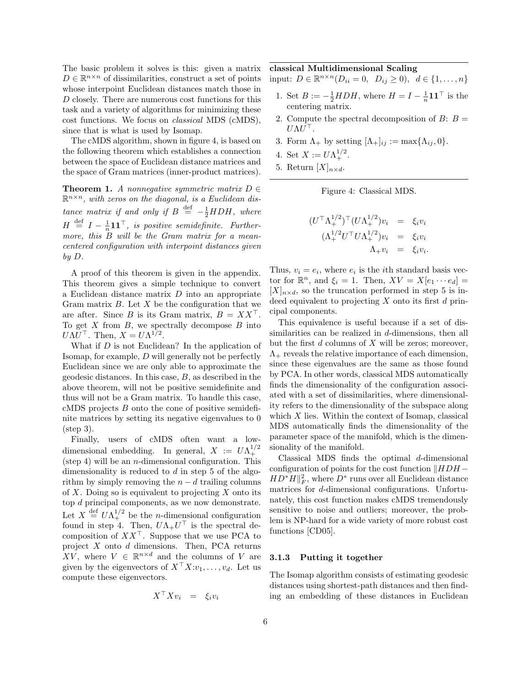The basic problem it solves is this: given a matrix  $D \in \mathbb{R}^{n \times n}$  of dissimilarities, construct a set of points whose interpoint Euclidean distances match those in D closely. There are numerous cost functions for this task and a variety of algorithms for minimizing these cost functions. We focus on classical MDS (cMDS), since that is what is used by Isomap.

The cMDS algorithm, shown in figure 4, is based on the following theorem which establishes a connection between the space of Euclidean distance matrices and the space of Gram matrices (inner-product matrices).

**Theorem 1.** A nonnegative symmetric matrix  $D \in$  $\mathbb{R}^{n \times n}$ , with zeros on the diagonal, is a Euclidean distance matrix if and only if  $B \stackrel{\text{def}}{=} -\frac{1}{2} H D H$ , where  $H \stackrel{\text{def}}{=} I - \frac{1}{n} \mathbf{1} \mathbf{1}^\top$ , is positive semidefinite. Furthermore, this  $B$  will be the Gram matrix for a meancentered configuration with interpoint distances given by D.

A proof of this theorem is given in the appendix. This theorem gives a simple technique to convert a Euclidean distance matrix  $D$  into an appropriate Gram matrix  $B$ . Let  $X$  be the configuration that we are after. Since B is its Gram matrix,  $B = XX^{\top}$ . To get  $X$  from  $B$ , we spectrally decompose  $B$  into  $U\Lambda U^{\top}$ . Then,  $X = U\Lambda^{1/2}$ .

What if  $D$  is not Euclidean? In the application of Isomap, for example, D will generally not be perfectly Euclidean since we are only able to approximate the geodesic distances. In this case, B, as described in the above theorem, will not be positive semidefinite and thus will not be a Gram matrix. To handle this case, cMDS projects B onto the cone of positive semidefinite matrices by setting its negative eigenvalues to 0 (step 3).

Finally, users of cMDS often want a lowdimensional embedding. In general,  $X := U \Lambda_+^{1/2}$ (step 4) will be an *n*-dimensional configuration. This dimensionality is reduced to d in step 5 of the algorithm by simply removing the  $n - d$  trailing columns of X. Doing so is equivalent to projecting  $X$  onto its top d principal components, as we now demonstrate. Let  $X \stackrel{\text{def}}{=} U \Lambda_+^{1/2}$  be the *n*-dimensional configuration found in step 4. Then,  $U\Lambda_+U^{\dagger}$  is the spectral decomposition of  $XX^{\top}$ . Suppose that we use PCA to project X onto d dimensions. Then, PCA returns XV, where  $V \in \mathbb{R}^{n \times d}$  and the columns of V are given by the eigenvectors of  $X^{\top}X: v_1, \ldots, v_d$ . Let us compute these eigenvectors.

$$
X^{\top} X v_i = \xi_i v_i
$$

classical Multidimensional Scaling

input:  $D \in \mathbb{R}^{n \times n}$   $(D_{ii} = 0, D_{ij} \ge 0), d \in \{1, ..., n\}$ 

- 1. Set  $B := -\frac{1}{2} HDH$ , where  $H = I \frac{1}{n} \mathbf{1} \mathbf{1}^\top$  is the centering matrix.
- 2. Compute the spectral decomposition of  $B: B =$  $U \Lambda U^\top$ .
- 3. Form  $\Lambda_+$  by setting  $[\Lambda_+]_{ij} := \max{\Lambda_{ij}, 0}.$
- 4. Set  $X := U \Lambda_+^{1/2}$ .
- 5. Return  $[X]_{n \times d}$ .



$$
(U^{\top} \Lambda_+^{1/2})^{\top} (U \Lambda_+^{1/2}) v_i = \xi_i v_i
$$
  

$$
(\Lambda_+^{1/2} U^{\top} U \Lambda_+^{1/2}) v_i = \xi_i v_i
$$
  

$$
\Lambda_+ v_i = \xi_i v_i.
$$

Thus,  $v_i = e_i$ , where  $e_i$  is the *i*th standard basis vector for  $\mathbb{R}^n$ , and  $\xi_i = 1$ . Then,  $XV = X[e_1 \cdots e_d] =$  $[X]_{n\times d}$ , so the truncation performed in step 5 is indeed equivalent to projecting  $X$  onto its first  $d$  principal components.

This equivalence is useful because if a set of dissimilarities can be realized in  $d$ -dimensions, then all but the first  $d$  columns of  $X$  will be zeros; moreover,  $\Lambda_{+}$  reveals the relative importance of each dimension, since these eigenvalues are the same as those found by PCA. In other words, classical MDS automatically finds the dimensionality of the configuration associated with a set of dissimilarities, where dimensionality refers to the dimensionality of the subspace along which  $X$  lies. Within the context of Isomap, classical MDS automatically finds the dimensionality of the parameter space of the manifold, which is the dimensionality of the manifold.

Classical MDS finds the optimal d-dimensional configuration of points for the cost function  $\|HDH HD^*H\|_F^2$ , where  $D^*$  runs over all Euclidean distance matrices for d-dimensional configurations. Unfortunately, this cost function makes cMDS tremendously sensitive to noise and outliers; moreover, the problem is NP-hard for a wide variety of more robust cost functions [CD05].

#### 3.1.3 Putting it together

The Isomap algorithm consists of estimating geodesic distances using shortest-path distances and then finding an embedding of these distances in Euclidean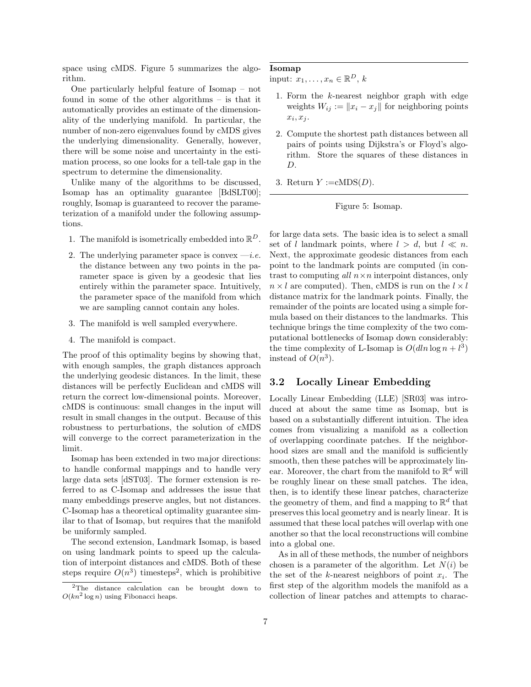space using cMDS. Figure 5 summarizes the algorithm.

One particularly helpful feature of Isomap – not found in some of the other algorithms – is that it automatically provides an estimate of the dimensionality of the underlying manifold. In particular, the number of non-zero eigenvalues found by cMDS gives the underlying dimensionality. Generally, however, there will be some noise and uncertainty in the estimation process, so one looks for a tell-tale gap in the spectrum to determine the dimensionality.

Unlike many of the algorithms to be discussed, Isomap has an optimality guarantee [BdSLT00]; roughly, Isomap is guaranteed to recover the parameterization of a manifold under the following assumptions.

- 1. The manifold is isometrically embedded into  $\mathbb{R}^D$ .
- 2. The underlying parameter space is convex  $-i.e.$ the distance between any two points in the parameter space is given by a geodesic that lies entirely within the parameter space. Intuitively, the parameter space of the manifold from which we are sampling cannot contain any holes.
- 3. The manifold is well sampled everywhere.
- 4. The manifold is compact.

The proof of this optimality begins by showing that, with enough samples, the graph distances approach the underlying geodesic distances. In the limit, these distances will be perfectly Euclidean and cMDS will return the correct low-dimensional points. Moreover, cMDS is continuous: small changes in the input will result in small changes in the output. Because of this robustness to perturbations, the solution of cMDS will converge to the correct parameterization in the limit.

Isomap has been extended in two major directions: to handle conformal mappings and to handle very large data sets [dST03]. The former extension is referred to as C-Isomap and addresses the issue that many embeddings preserve angles, but not distances. C-Isomap has a theoretical optimality guarantee similar to that of Isomap, but requires that the manifold be uniformly sampled.

The second extension, Landmark Isomap, is based on using landmark points to speed up the calculation of interpoint distances and cMDS. Both of these steps require  $O(n^3)$  timesteps<sup>2</sup>, which is prohibitive

#### Isomap

input:  $x_1, \ldots, x_n \in \mathbb{R}^D$ , k

- 1. Form the  $k$ -nearest neighbor graph with edge weights  $W_{ij} := ||x_i - x_j||$  for neighboring points  $\dot{x_i}$  $, x_j.$
- 2. Compute the shortest path distances between all pairs of points using Dijkstra's or Floyd's algorithm. Store the squares of these distances in D.
- 3. Return  $Y := cMDS(D)$ .

#### Figure 5: Isomap.

for large data sets. The basic idea is to select a small set of l landmark points, where  $l > d$ , but  $l \ll n$ . Next, the approximate geodesic distances from each point to the landmark points are computed (in contrast to computing all  $n \times n$  interpoint distances, only  $n \times l$  are computed). Then, cMDS is run on the  $l \times l$ distance matrix for the landmark points. Finally, the remainder of the points are located using a simple formula based on their distances to the landmarks. This technique brings the time complexity of the two computational bottlenecks of Isomap down considerably: the time complexity of L-Isomap is  $O(d \ln \log n + l^3)$ instead of  $O(n^3)$ .

### 3.2 Locally Linear Embedding

Locally Linear Embedding (LLE) [SR03] was introduced at about the same time as Isomap, but is based on a substantially different intuition. The idea comes from visualizing a manifold as a collection of overlapping coordinate patches. If the neighborhood sizes are small and the manifold is sufficiently smooth, then these patches will be approximately linear. Moreover, the chart from the manifold to  $\mathbb{R}^d$  will be roughly linear on these small patches. The idea, then, is to identify these linear patches, characterize the geometry of them, and find a mapping to  $\mathbb{R}^d$  that preserves this local geometry and is nearly linear. It is assumed that these local patches will overlap with one another so that the local reconstructions will combine into a global one.

As in all of these methods, the number of neighbors chosen is a parameter of the algorithm. Let  $N(i)$  be the set of the k-nearest neighbors of point  $x_i$ . The first step of the algorithm models the manifold as a collection of linear patches and attempts to charac-

<sup>&</sup>lt;sup>2</sup>The distance calculation can be brought down to  $O(kn^2 \log n)$  using Fibonacci heaps.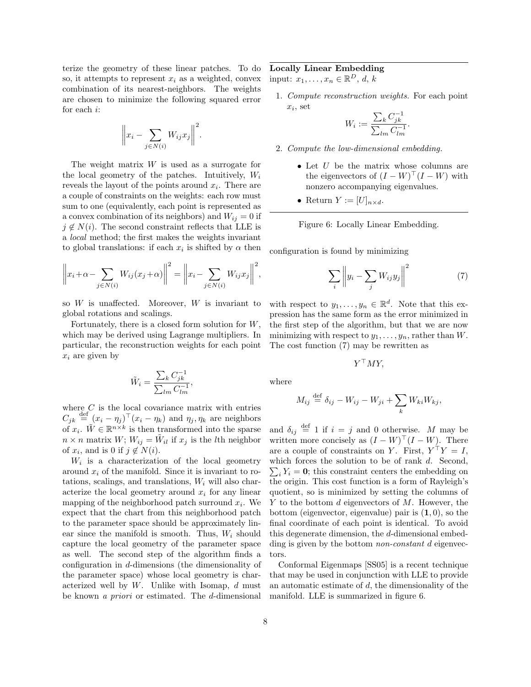terize the geometry of these linear patches. To do so, it attempts to represent  $x_i$  as a weighted, convex combination of its nearest-neighbors. The weights are chosen to minimize the following squared error for each i:

$$
\left\| x_i - \sum_{j \in N(i)} W_{ij} x_j \right\|^2.
$$

The weight matrix  $W$  is used as a surrogate for the local geometry of the patches. Intuitively,  $W_i$ reveals the layout of the points around  $x_i$ . There are a couple of constraints on the weights: each row must sum to one (equivalently, each point is represented as a convex combination of its neighbors) and  $W_{ij} = 0$  if  $j \notin N(i)$ . The second constraint reflects that LLE is a local method; the first makes the weights invariant to global translations: if each  $x_i$  is shifted by  $\alpha$  then

$$
\left\|x_i + \alpha - \sum_{j \in N(i)} W_{ij}(x_j + \alpha)\right\|^2 = \left\|x_i - \sum_{j \in N(i)} W_{ij}x_j\right\|^2,
$$

so  $W$  is unaffected. Moreover,  $W$  is invariant to global rotations and scalings.

Fortunately, there is a closed form solution for  $W$ , which may be derived using Lagrange multipliers. In particular, the reconstruction weights for each point  $x_i$  are given by

$$
\tilde{W}_i = \frac{\sum_k C_{jk}^{-1}}{\sum_{lm} C_{lm}^{-1}},
$$

where  $C$  is the local covariance matrix with entries  $C_{jk} \stackrel{\text{def}}{=} (x_i - \eta_j)^\top (x_i - \eta_k)$  and  $\eta_j, \eta_k$  are neighbors of  $x_i$ .  $\tilde{W} \in \mathbb{R}^{n \times k}$  is then transformed into the sparse  $n \times n$  matrix  $W$ ;  $W_{ij} = \tilde{W}_{il}$  if  $x_j$  is the *l*th neighbor of  $x_i$ , and is 0 if  $j \notin N(i)$ .

 $W_i$  is a characterization of the local geometry around  $x_i$  of the manifold. Since it is invariant to rotations, scalings, and translations,  $W_i$  will also characterize the local geometry around  $x_i$  for any linear mapping of the neighborhood patch surround  $x_i$ . We expect that the chart from this neighborhood patch to the parameter space should be approximately linear since the manifold is smooth. Thus,  $W_i$  should capture the local geometry of the parameter space as well. The second step of the algorithm finds a configuration in d-dimensions (the dimensionality of the parameter space) whose local geometry is characterized well by  $W$ . Unlike with Isomap,  $d$  must be known a priori or estimated. The d-dimensional

## Locally Linear Embedding

input:  $x_1, \ldots, x_n \in \mathbb{R}^D$ , d, k

1. Compute reconstruction weights. For each point  $x_i$ , set  $\overline{ }$ 

$$
W_i:=\frac{\sum_kC^{-1}_{jk}}{\sum_{lm}C^{-1}_{lm}}.
$$

- 2. Compute the low-dimensional embedding.
	- $\bullet$  Let  $U$  be the matrix whose columns are the eigenvectors of  $(I - W)^\top (I - W)$  with nonzero accompanying eigenvalues.
	- Return  $Y := [U]_{n \times d}$ .

Figure 6: Locally Linear Embedding.

configuration is found by minimizing

$$
\sum_{i} \left\| y_i - \sum_{j} W_{ij} y_j \right\|^2 \tag{7}
$$

with respect to  $y_1, \ldots, y_n \in \mathbb{R}^d$ . Note that this expression has the same form as the error minimized in the first step of the algorithm, but that we are now minimizing with respect to  $y_1, \ldots, y_n$ , rather than W. The cost function (7) may be rewritten as

$$
Y^{\top}MY,
$$

where

$$
M_{ij} \stackrel{\text{def}}{=} \delta_{ij} - W_{ij} - W_{ji} + \sum_{k} W_{ki} W_{kj},
$$

and  $\delta_{ij} \stackrel{\text{def}}{=} 1$  if  $i = j$  and 0 otherwise. M may be written more concisely as  $(I - W)^{\top} (I - W)$ . There are a couple of constraints on Y. First,  $Y^{\top}Y = I$ , which forces the solution to be of rank  $d$ . Second,  $i_i Y_i = 0$ ; this constraint centers the embedding on the origin. This cost function is a form of Rayleigh's quotient, so is minimized by setting the columns of  $Y$  to the bottom  $d$  eigenvectors of  $M$ . However, the bottom (eigenvector, eigenvalue) pair is  $(1, 0)$ , so the final coordinate of each point is identical. To avoid this degenerate dimension, the d-dimensional embedding is given by the bottom *non-constant d* eigenvectors.

Conformal Eigenmaps [SS05] is a recent technique that may be used in conjunction with LLE to provide an automatic estimate of  $d$ , the dimensionality of the manifold. LLE is summarized in figure 6.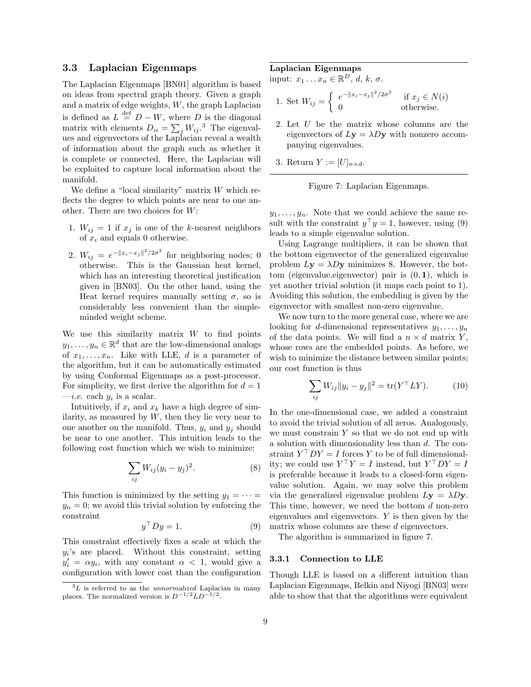### 3.3 Laplacian Eigenmaps

The Laplacian Eigenmaps [BN01] algorithm is based on ideas from spectral graph theory. Given a graph and a matrix of edge weights, W, the graph Laplacian is defined as  $L \stackrel{\text{def}}{=} D - W$ , where D is the diagonal is defined as  $L = D - W$ , where D is the diagonal-<br>matrix with elements  $D_{ii} = \sum_j W_{ij}$ .<sup>3</sup> The eigenvalues and eigenvectors of the Laplacian reveal a wealth of information about the graph such as whether it is complete or connected. Here, the Laplacian will be exploited to capture local information about the manifold.

We define a "local similarity" matrix  $W$  which reflects the degree to which points are near to one another. There are two choices for W:

- 1.  $W_{ij} = 1$  if  $x_j$  is one of the k-nearest neighbors of  $x_i$  and equals 0 otherwise.
- 2.  $W_{ij} = e^{-\|x_i x_j\|^2/2\sigma^2}$  for neighboring nodes; 0 otherwise. This is the Gaussian heat kernel, which has an interesting theoretical justification given in [BN03]. On the other hand, using the Heat kernel requires manually setting  $\sigma$ , so is considerably less convenient than the simpleminded weight scheme.

We use this similarity matrix  $W$  to find points  $y_1, \ldots, y_n \in \mathbb{R}^d$  that are the low-dimensional analogs of  $x_1, \ldots, x_n$ . Like with LLE, d is a parameter of the algorithm, but it can be automatically estimated by using Conformal Eigenmaps as a post-processor. For simplicity, we first derive the algorithm for  $d = 1$  $-i.e.$  each  $y_i$  is a scalar.

Intuitively, if  $x_i$  and  $x_k$  have a high degree of similarity, as measured by  $W$ , then they lie very near to one another on the manifold. Thus,  $y_i$  and  $y_j$  should be near to one another. This intuition leads to the following cost function which we wish to minimize:

$$
\sum_{ij} W_{ij} (y_i - y_j)^2. \tag{8}
$$

This function is minimized by the setting  $y_1 = \cdots =$  $y_n = 0$ ; we avoid this trivial solution by enforcing the constraint

$$
y^{\top}Dy = 1. \tag{9}
$$

This constraint effectively fixes a scale at which the  $y_i$ 's are placed. Without this constraint, setting  $y_i' = \alpha y_i$ , with any constant  $\alpha < 1$ , would give a configuration with lower cost than the configuration

#### Laplacian Eigenmaps

input:  $x_1 \ldots x_n \in \mathbb{R}^D$ , d, k,  $\sigma$ .

1. Set 
$$
W_{ij} = \begin{cases} e^{-\|x_i - x_j\|^2/2\sigma^2} & \text{if } x_j \in N(i) \\ 0 & \text{otherwise.} \end{cases}
$$

- 2. Let U be the matrix whose columns are the eigenvectors of  $Ly = \lambda Dy$  with nonzero accompanying eigenvalues.
- 3. Return  $Y := [U]_{n \times d}$ .



 $y_1, \ldots, y_n$ . Note that we could achieve the same result with the constraint  $y^{\top}y = 1$ , however, using (9) leads to a simple eigenvalue solution.

Using Lagrange multipliers, it can be shown that the bottom eigenvector of the generalized eigenvalue problem  $Ly = \lambda Dy$  minimizes 8. However, the bottom (eigenvalue, eigenvector) pair is  $(0, 1)$ , which is yet another trivial solution (it maps each point to 1). Avoiding this solution, the embedding is given by the eigenvector with smallest non-zero eigenvalue.

We now turn to the more general case, where we are looking for d-dimensional representatives  $y_1, \ldots, y_n$ of the data points. We will find a  $n \times d$  matrix Y, whose rows are the embedded points. As before, we wish to minimize the distance between similar points; our cost function is thus

$$
\sum_{ij} W_{ij} ||y_i - y_j||^2 = \text{tr}(Y^\top LY). \tag{10}
$$

In the one-dimensional case, we added a constraint to avoid the trivial solution of all zeros. Analogously, we must constrain  $Y$  so that we do not end up with a solution with dimensionality less than d. The constraint  $Y^{\top}DY = I$  forces Y to be of full dimensionality; we could use  $Y^{\top}Y = I$  instead, but  $Y^{\top}DY = I$ is preferable because it leads to a closed-form eigenvalue solution. Again, we may solve this problem via the generalized eigenvalue problem  $Ly = \lambda Dy$ . This time, however, we need the bottom  $d$  non-zero eigenvalues and eigenvectors. Y is then given by the matrix whose columns are these d eigenvectors.

The algorithm is summarized in figure 7.

#### 3.3.1 Connection to LLE

Though LLE is based on a different intuition than Laplacian Eigenmaps, Belkin and Niyogi [BN03] were able to show that that the algorithms were equivalent

 ${}^{3}L$  is referred to as the unnormalized Laplacian in many places. The normalized version is  $D^{-1/2}LD^{-1/2}$ .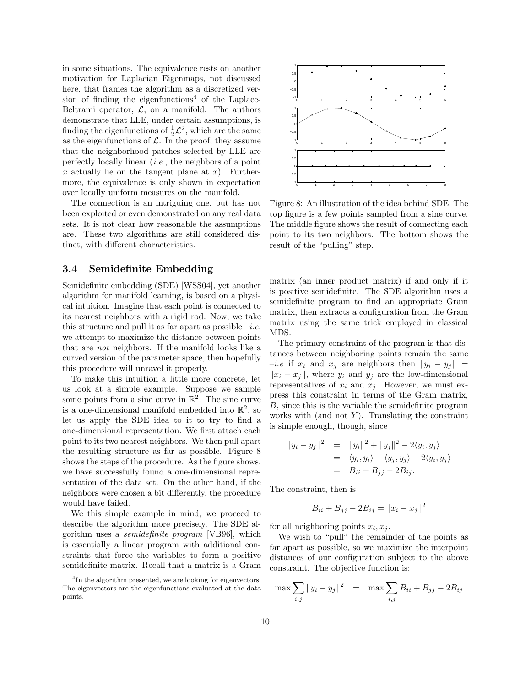in some situations. The equivalence rests on another motivation for Laplacian Eigenmaps, not discussed here, that frames the algorithm as a discretized version of finding the eigenfunctions<sup>4</sup> of the Laplace-Beltrami operator,  $\mathcal{L}$ , on a manifold. The authors demonstrate that LLE, under certain assumptions, is finding the eigenfunctions of  $\frac{1}{2}\mathcal{L}^2$ , which are the same as the eigenfunctions of  $\mathcal{L}$ . In the proof, they assume that the neighborhood patches selected by LLE are perfectly locally linear (i.e., the neighbors of a point x actually lie on the tangent plane at  $x$ ). Furthermore, the equivalence is only shown in expectation over locally uniform measures on the manifold.

The connection is an intriguing one, but has not been exploited or even demonstrated on any real data sets. It is not clear how reasonable the assumptions are. These two algorithms are still considered distinct, with different characteristics.

#### 3.4 Semidefinite Embedding

Semidefinite embedding (SDE) [WSS04], yet another algorithm for manifold learning, is based on a physical intuition. Imagine that each point is connected to its nearest neighbors with a rigid rod. Now, we take this structure and pull it as far apart as possible  $-i.e.$ we attempt to maximize the distance between points that are not neighbors. If the manifold looks like a curved version of the parameter space, then hopefully this procedure will unravel it properly.

To make this intuition a little more concrete, let us look at a simple example. Suppose we sample some points from a sine curve in  $\mathbb{R}^2$ . The sine curve is a one-dimensional manifold embedded into  $\mathbb{R}^2$ , so let us apply the SDE idea to it to try to find a one-dimensional representation. We first attach each point to its two nearest neighbors. We then pull apart the resulting structure as far as possible. Figure 8 shows the steps of the procedure. As the figure shows, we have successfully found a one-dimensional representation of the data set. On the other hand, if the neighbors were chosen a bit differently, the procedure would have failed.

We this simple example in mind, we proceed to describe the algorithm more precisely. The SDE algorithm uses a semidefinite program [VB96], which is essentially a linear program with additional constraints that force the variables to form a positive semidefinite matrix. Recall that a matrix is a Gram



Figure 8: An illustration of the idea behind SDE. The top figure is a few points sampled from a sine curve. The middle figure shows the result of connecting each point to its two neighbors. The bottom shows the result of the "pulling" step.

matrix (an inner product matrix) if and only if it is positive semidefinite. The SDE algorithm uses a semidefinite program to find an appropriate Gram matrix, then extracts a configuration from the Gram matrix using the same trick employed in classical MDS.

The primary constraint of the program is that distances between neighboring points remain the same  $-i.e$  if  $x_i$  and  $x_j$  are neighbors then  $||y_i - y_j||$  =  $||x_i - x_j||$ , where  $y_i$  and  $y_j$  are the low-dimensional representatives of  $x_i$  and  $x_j$ . However, we must express this constraint in terms of the Gram matrix, B, since this is the variable the semidefinite program works with (and not  $Y$ ). Translating the constraint is simple enough, though, since

$$
||y_i - y_j||^2 = ||y_i||^2 + ||y_j||^2 - 2\langle y_i, y_j \rangle
$$
  
=  $\langle y_i, y_i \rangle + \langle y_j, y_j \rangle - 2\langle y_i, y_j \rangle$   
=  $B_{ii} + B_{jj} - 2B_{ij}.$ 

The constraint, then is

$$
B_{ii} + B_{jj} - 2B_{ij} = ||x_i - x_j||^2
$$

for all neighboring points  $x_i, x_j$ .

We wish to "pull" the remainder of the points as far apart as possible, so we maximize the interpoint distances of our configuration subject to the above constraint. The objective function is:

$$
\max \sum_{i,j} \|y_i - y_j\|^2 = \max \sum_{i,j} B_{ii} + B_{jj} - 2B_{ij}
$$

<sup>&</sup>lt;sup>4</sup>In the algorithm presented, we are looking for eigenvectors. The eigenvectors are the eigenfunctions evaluated at the data points.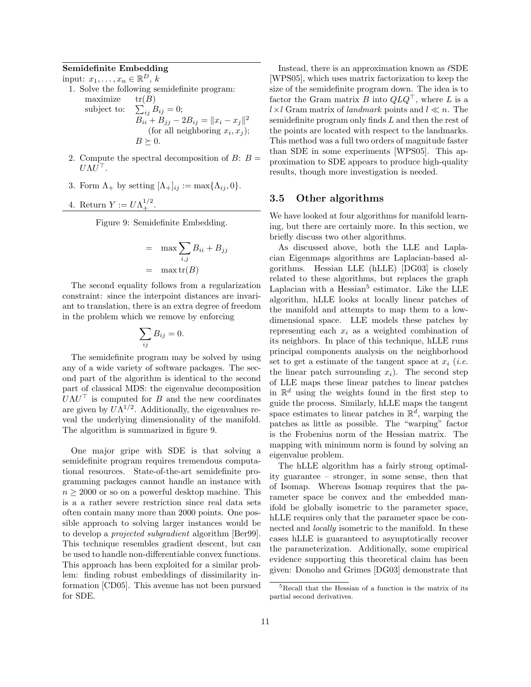## Semidefinite Embedding

input:  $x_1, \ldots, x_n \in \mathbb{R}^D$ , k

- 1. Solve the following semidefinite program: maximize  $tr(B)$ subject to:  $\sum_{ij} B_{ij} = 0;$  $B_{ii} + B_{jj} - 2B_{ij} = ||x_i - x_j||^2$ 
	- (for all neighboring  $x_i, x_j$ );  $B \succeq 0$ .
- 2. Compute the spectral decomposition of  $B: B =$  $U \Lambda U^{\top}$ .
- 3. Form  $\Lambda_+$  by setting  $[\Lambda_+]_{ij} := \max{\{\Lambda_{ij}, 0\}}$ .
- 4. Return  $Y := U \Lambda_+^{1/2}$ .

Figure 9: Semidefinite Embedding.

$$
= \max \sum_{i,j} B_{ii} + B_{jj}
$$

$$
= \max \text{tr}(B)
$$

The second equality follows from a regularization constraint: since the interpoint distances are invariant to translation, there is an extra degree of freedom in the problem which we remove by enforcing

$$
\sum_{ij} B_{ij} = 0.
$$

The semidefinite program may be solved by using any of a wide variety of software packages. The second part of the algorithm is identical to the second part of classical MDS: the eigenvalue decomposition  $U\Lambda U^{\top}$  is computed for B and the new coordinates are given by  $U\Lambda^{1/2}$ . Additionally, the eigenvalues reveal the underlying dimensionality of the manifold. The algorithm is summarized in figure 9.

One major gripe with SDE is that solving a semidefinite program requires tremendous computational resources. State-of-the-art semidefinite programming packages cannot handle an instance with  $n \geq 2000$  or so on a powerful desktop machine. This is a a rather severe restriction since real data sets often contain many more than 2000 points. One possible approach to solving larger instances would be to develop a projected subgradient algorithm [Ber99]. This technique resembles gradient descent, but can be used to handle non-differentiable convex functions. This approach has been exploited for a similar problem: finding robust embeddings of dissimilarity information [CD05]. This avenue has not been pursued for SDE.

Instead, there is an approximation known as  $\ell$ SDE [WPS05], which uses matrix factorization to keep the size of the semidefinite program down. The idea is to factor the Gram matrix B into  $QLQ^{\top}$ , where L is a  $l \times l$  Gram matrix of landmark points and  $l \ll n$ . The semidefinite program only finds L and then the rest of the points are located with respect to the landmarks. This method was a full two orders of magnitude faster than SDE in some experiments [WPS05]. This approximation to SDE appears to produce high-quality results, though more investigation is needed.

#### 3.5 Other algorithms

We have looked at four algorithms for manifold learning, but there are certainly more. In this section, we briefly discuss two other algorithms.

As discussed above, both the LLE and Laplacian Eigenmaps algorithms are Laplacian-based algorithms. Hessian LLE (hLLE) [DG03] is closely related to these algorithms, but replaces the graph Laplacian with a  $Hessian<sup>5</sup>$  estimator. Like the LLE algorithm, hLLE looks at locally linear patches of the manifold and attempts to map them to a lowdimensional space. LLE models these patches by representing each  $x_i$  as a weighted combination of its neighbors. In place of this technique, hLLE runs principal components analysis on the neighborhood set to get a estimate of the tangent space at  $x_i$  (*i.e.*) the linear patch surrounding  $x_i$ ). The second step of LLE maps these linear patches to linear patches in  $\mathbb{R}^d$  using the weights found in the first step to guide the process. Similarly, hLLE maps the tangent space estimates to linear patches in  $\mathbb{R}^d$ , warping the patches as little as possible. The "warping" factor is the Frobenius norm of the Hessian matrix. The mapping with minimum norm is found by solving an eigenvalue problem.

The hLLE algorithm has a fairly strong optimality guarantee – stronger, in some sense, then that of Isomap. Whereas Isomap requires that the parameter space be convex and the embedded manifold be globally isometric to the parameter space, hLLE requires only that the parameter space be connected and locally isometric to the manifold. In these cases hLLE is guaranteed to asymptotically recover the parameterization. Additionally, some empirical evidence supporting this theoretical claim has been given: Donoho and Grimes [DG03] demonstrate that

<sup>5</sup>Recall that the Hessian of a function is the matrix of its partial second derivatives.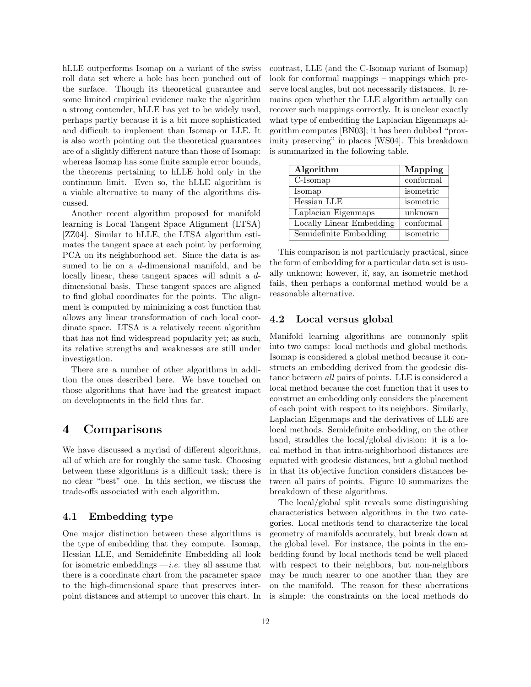hLLE outperforms Isomap on a variant of the swiss roll data set where a hole has been punched out of the surface. Though its theoretical guarantee and some limited empirical evidence make the algorithm a strong contender, hLLE has yet to be widely used, perhaps partly because it is a bit more sophisticated and difficult to implement than Isomap or LLE. It is also worth pointing out the theoretical guarantees are of a slightly different nature than those of Isomap: whereas Isomap has some finite sample error bounds, the theorems pertaining to hLLE hold only in the continuum limit. Even so, the hLLE algorithm is a viable alternative to many of the algorithms discussed.

Another recent algorithm proposed for manifold learning is Local Tangent Space Alignment (LTSA) [ZZ04]. Similar to hLLE, the LTSA algorithm estimates the tangent space at each point by performing PCA on its neighborhood set. Since the data is assumed to lie on a d-dimensional manifold, and be locally linear, these tangent spaces will admit a ddimensional basis. These tangent spaces are aligned to find global coordinates for the points. The alignment is computed by minimizing a cost function that allows any linear transformation of each local coordinate space. LTSA is a relatively recent algorithm that has not find widespread popularity yet; as such, its relative strengths and weaknesses are still under investigation.

There are a number of other algorithms in addition the ones described here. We have touched on those algorithms that have had the greatest impact on developments in the field thus far.

## 4 Comparisons

We have discussed a myriad of different algorithms, all of which are for roughly the same task. Choosing between these algorithms is a difficult task; there is no clear "best" one. In this section, we discuss the trade-offs associated with each algorithm.

#### 4.1 Embedding type

One major distinction between these algorithms is the type of embedding that they compute. Isomap, Hessian LLE, and Semidefinite Embedding all look for isometric embeddings  $-i.e.$  they all assume that there is a coordinate chart from the parameter space to the high-dimensional space that preserves interpoint distances and attempt to uncover this chart. In contrast, LLE (and the C-Isomap variant of Isomap) look for conformal mappings – mappings which preserve local angles, but not necessarily distances. It remains open whether the LLE algorithm actually can recover such mappings correctly. It is unclear exactly what type of embedding the Laplacian Eigenmaps algorithm computes [BN03]; it has been dubbed "proximity preserving" in places [WS04]. This breakdown is summarized in the following table.

| Algorithm                | Mapping   |
|--------------------------|-----------|
| C-Isomap                 | conformal |
| Isomap                   | isometric |
| Hessian LLE              | isometric |
| Laplacian Eigenmaps      | unknown   |
| Locally Linear Embedding | conformal |
| Semidefinite Embedding   | isometric |

This comparison is not particularly practical, since the form of embedding for a particular data set is usually unknown; however, if, say, an isometric method fails, then perhaps a conformal method would be a reasonable alternative.

### 4.2 Local versus global

Manifold learning algorithms are commonly split into two camps: local methods and global methods. Isomap is considered a global method because it constructs an embedding derived from the geodesic distance between all pairs of points. LLE is considered a local method because the cost function that it uses to construct an embedding only considers the placement of each point with respect to its neighbors. Similarly, Laplacian Eigenmaps and the derivatives of LLE are local methods. Semidefinite embedding, on the other hand, straddles the local/global division: it is a local method in that intra-neighborhood distances are equated with geodesic distances, but a global method in that its objective function considers distances between all pairs of points. Figure 10 summarizes the breakdown of these algorithms.

The local/global split reveals some distinguishing characteristics between algorithms in the two categories. Local methods tend to characterize the local geometry of manifolds accurately, but break down at the global level. For instance, the points in the embedding found by local methods tend be well placed with respect to their neighbors, but non-neighbors may be much nearer to one another than they are on the manifold. The reason for these aberrations is simple: the constraints on the local methods do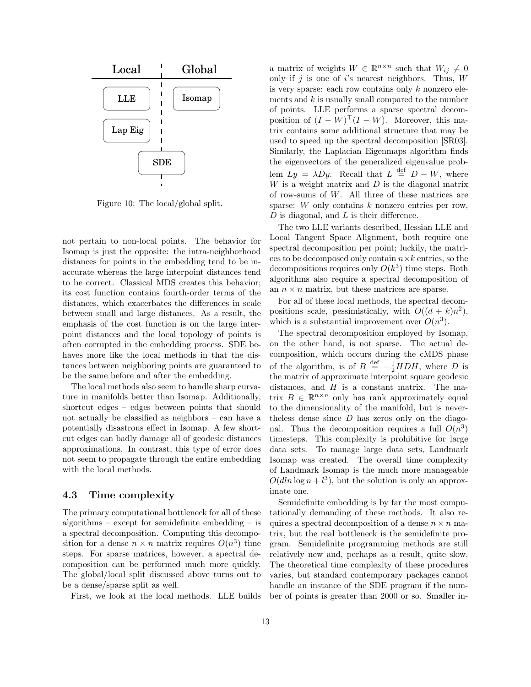

Figure 10: The local/global split.

not pertain to non-local points. The behavior for Isomap is just the opposite: the intra-neighborhood distances for points in the embedding tend to be inaccurate whereas the large interpoint distances tend to be correct. Classical MDS creates this behavior; its cost function contains fourth-order terms of the distances, which exacerbates the differences in scale between small and large distances. As a result, the emphasis of the cost function is on the large interpoint distances and the local topology of points is often corrupted in the embedding process. SDE behaves more like the local methods in that the distances between neighboring points are guaranteed to be the same before and after the embedding.

The local methods also seem to handle sharp curvature in manifolds better than Isomap. Additionally, shortcut edges – edges between points that should not actually be classified as neighbors – can have a potentially disastrous effect in Isomap. A few shortcut edges can badly damage all of geodesic distances approximations. In contrast, this type of error does not seem to propagate through the entire embedding with the local methods.

#### 4.3 Time complexity

The primary computational bottleneck for all of these algorithms – except for semidefinite embedding – is a spectral decomposition. Computing this decomposition for a dense  $n \times n$  matrix requires  $O(n^3)$  time steps. For sparse matrices, however, a spectral decomposition can be performed much more quickly. The global/local split discussed above turns out to be a dense/sparse split as well.

First, we look at the local methods. LLE builds

a matrix of weights  $W \in \mathbb{R}^{n \times n}$  such that  $W_{ij} \neq 0$ only if  $j$  is one of  $i$ 's nearest neighbors. Thus,  $W$ is very sparse: each row contains only k nonzero elements and  $k$  is usually small compared to the number of points. LLE performs a sparse spectral decomposition of  $(I - W)^\top (I - W)$ . Moreover, this matrix contains some additional structure that may be used to speed up the spectral decomposition [SR03]. Similarly, the Laplacian Eigenmaps algorithm finds the eigenvectors of the generalized eigenvalue problem  $Ly = \lambda Dy$ . Recall that  $L \stackrel{\text{def}}{=} D - W$ , where  $W$  is a weight matrix and  $D$  is the diagonal matrix of row-sums of W. All three of these matrices are sparse: W only contains k nonzero entries per row,  $D$  is diagonal, and  $L$  is their difference.

The two LLE variants described, Hessian LLE and Local Tangent Space Alignment, both require one spectral decomposition per point; luckily, the matrices to be decomposed only contain  $n \times k$  entries, so the decompositions requires only  $O(k^3)$  time steps. Both algorithms also require a spectral decomposition of an  $n \times n$  matrix, but these matrices are sparse.

For all of these local methods, the spectral decompositions scale, pessimistically, with  $O((d + k)n^2)$ , which is a substantial improvement over  $O(n^3)$ .

The spectral decomposition employed by Isomap, on the other hand, is not sparse. The actual decomposition, which occurs during the cMDS phase of the algorithm, is of  $B \stackrel{\text{def}}{=} -\frac{1}{2} H D H$ , where D is the matrix of approximate interpoint square geodesic distances, and  $H$  is a constant matrix. The matrix  $B \in \mathbb{R}^{n \times n}$  only has rank approximately equal to the dimensionality of the manifold, but is neverthe less dense since  $D$  has zeros only on the diagonal. Thus the decomposition requires a full  $O(n^3)$ timesteps. This complexity is prohibitive for large data sets. To manage large data sets, Landmark Isomap was created. The overall time complexity of Landmark Isomap is the much more manageable  $O(d \ln \log n + l^3)$ , but the solution is only an approximate one.

Semidefinite embedding is by far the most computationally demanding of these methods. It also requires a spectral decomposition of a dense  $n \times n$  matrix, but the real bottleneck is the semidefinite program. Semidefinite programming methods are still relatively new and, perhaps as a result, quite slow. The theoretical time complexity of these procedures varies, but standard contemporary packages cannot handle an instance of the SDE program if the number of points is greater than 2000 or so. Smaller in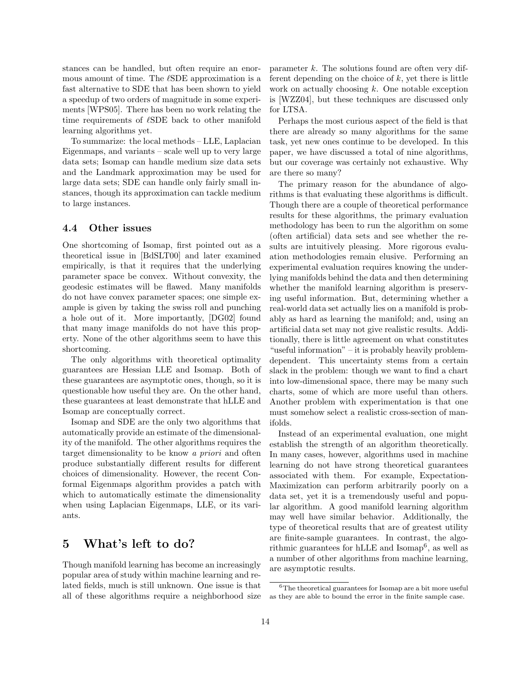stances can be handled, but often require an enormous amount of time. The  $\ell\mathrm{SDE}$  approximation is a fast alternative to SDE that has been shown to yield a speedup of two orders of magnitude in some experiments [WPS05]. There has been no work relating the time requirements of  $\ell$ SDE back to other manifold learning algorithms yet.

To summarize: the local methods – LLE, Laplacian Eigenmaps, and variants – scale well up to very large data sets; Isomap can handle medium size data sets and the Landmark approximation may be used for large data sets; SDE can handle only fairly small instances, though its approximation can tackle medium to large instances.

#### 4.4 Other issues

One shortcoming of Isomap, first pointed out as a theoretical issue in [BdSLT00] and later examined empirically, is that it requires that the underlying parameter space be convex. Without convexity, the geodesic estimates will be flawed. Many manifolds do not have convex parameter spaces; one simple example is given by taking the swiss roll and punching a hole out of it. More importantly, [DG02] found that many image manifolds do not have this property. None of the other algorithms seem to have this shortcoming.

The only algorithms with theoretical optimality guarantees are Hessian LLE and Isomap. Both of these guarantees are asymptotic ones, though, so it is questionable how useful they are. On the other hand, these guarantees at least demonstrate that hLLE and Isomap are conceptually correct.

Isomap and SDE are the only two algorithms that automatically provide an estimate of the dimensionality of the manifold. The other algorithms requires the target dimensionality to be know a priori and often produce substantially different results for different choices of dimensionality. However, the recent Conformal Eigenmaps algorithm provides a patch with which to automatically estimate the dimensionality when using Laplacian Eigenmaps, LLE, or its variants.

## 5 What's left to do?

Though manifold learning has become an increasingly popular area of study within machine learning and related fields, much is still unknown. One issue is that all of these algorithms require a neighborhood size  $\alpha$  parameter k. The solutions found are often very different depending on the choice of  $k$ , yet there is little work on actually choosing  $k$ . One notable exception is [WZZ04], but these techniques are discussed only for LTSA.

Perhaps the most curious aspect of the field is that there are already so many algorithms for the same task, yet new ones continue to be developed. In this paper, we have discussed a total of nine algorithms, but our coverage was certainly not exhaustive. Why are there so many?

The primary reason for the abundance of algorithms is that evaluating these algorithms is difficult. Though there are a couple of theoretical performance results for these algorithms, the primary evaluation methodology has been to run the algorithm on some (often artificial) data sets and see whether the results are intuitively pleasing. More rigorous evaluation methodologies remain elusive. Performing an experimental evaluation requires knowing the underlying manifolds behind the data and then determining whether the manifold learning algorithm is preserving useful information. But, determining whether a real-world data set actually lies on a manifold is probably as hard as learning the manifold; and, using an artificial data set may not give realistic results. Additionally, there is little agreement on what constitutes "useful information" – it is probably heavily problemdependent. This uncertainty stems from a certain slack in the problem: though we want to find a chart into low-dimensional space, there may be many such charts, some of which are more useful than others. Another problem with experimentation is that one must somehow select a realistic cross-section of manifolds.

Instead of an experimental evaluation, one might establish the strength of an algorithm theoretically. In many cases, however, algorithms used in machine learning do not have strong theoretical guarantees associated with them. For example, Expectation-Maximization can perform arbitrarily poorly on a data set, yet it is a tremendously useful and popular algorithm. A good manifold learning algorithm may well have similar behavior. Additionally, the type of theoretical results that are of greatest utility are finite-sample guarantees. In contrast, the algorithmic guarantees for hLLE and Isomap<sup>6</sup>, as well as a number of other algorithms from machine learning, are asymptotic results.

 $6$ The theoretical guarantees for Isomap are a bit more useful as they are able to bound the error in the finite sample case.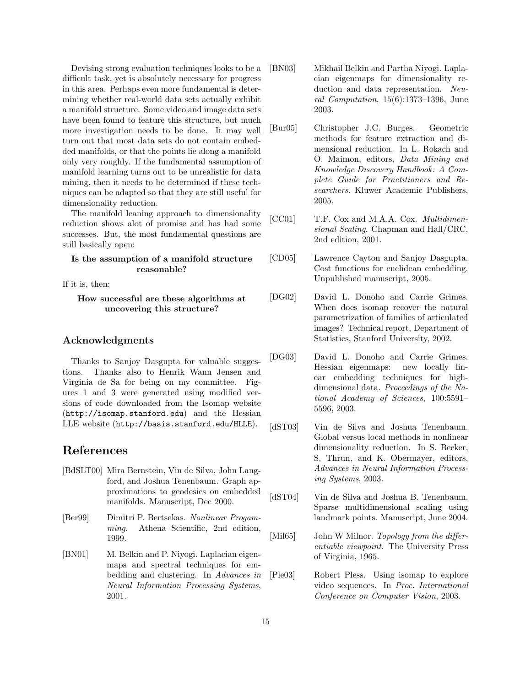Devising strong evaluation techniques looks to be a difficult task, yet is absolutely necessary for progress in this area. Perhaps even more fundamental is determining whether real-world data sets actually exhibit a manifold structure. Some video and image data sets have been found to feature this structure, but much more investigation needs to be done. It may well turn out that most data sets do not contain embedded manifolds, or that the points lie along a manifold only very roughly. If the fundamental assumption of manifold learning turns out to be unrealistic for data mining, then it needs to be determined if these techniques can be adapted so that they are still useful for dimensionality reduction.

The manifold leaning approach to dimensionality reduction shows alot of promise and has had some successes. But, the most fundamental questions are still basically open:

#### Is the assumption of a manifold structure reasonable?

If it is, then:

### How successful are these algorithms at uncovering this structure?

### Acknowledgments

Thanks to Sanjoy Dasgupta for valuable suggestions. Thanks also to Henrik Wann Jensen and Virginia de Sa for being on my committee. Figures 1 and 3 were generated using modified versions of code downloaded from the Isomap website (http://isomap.stanford.edu) and the Hessian LLE website (http://basis.stanford.edu/HLLE).

## References

- [BdSLT00] Mira Bernstein, Vin de Silva, John Langford, and Joshua Tenenbaum. Graph approximations to geodesics on embedded manifolds. Manuscript, Dec 2000.
- [Ber99] Dimitri P. Bertsekas. Nonlinear Progamming. Athena Scientific, 2nd edition, 1999.
- [BN01] M. Belkin and P. Niyogi. Laplacian eigenmaps and spectral techniques for embedding and clustering. In Advances in Neural Information Processing Systems, 2001.
- [BN03] Mikhail Belkin and Partha Niyogi. Laplacian eigenmaps for dimensionality reduction and data representation. Neural Computation, 15(6):1373–1396, June 2003.
- [Bur05] Christopher J.C. Burges. Geometric methods for feature extraction and dimensional reduction. In L. Rokach and O. Maimon, editors, Data Mining and Knowledge Discovery Handbook: A Complete Guide for Practitioners and Researchers. Kluwer Academic Publishers, 2005.
- [CC01] T.F. Cox and M.A.A. Cox. *Multidimen*sional Scaling. Chapman and Hall/CRC, 2nd edition, 2001.
- [CD05] Lawrence Cayton and Sanjoy Dasgupta. Cost functions for euclidean embedding. Unpublished manuscript, 2005.
- [DG02] David L. Donoho and Carrie Grimes. When does isomap recover the natural parametrization of families of articulated images? Technical report, Department of Statistics, Stanford University, 2002.
- [DG03] David L. Donoho and Carrie Grimes. Hessian eigenmaps: new locally linear embedding techniques for highdimensional data. Proceedings of the National Academy of Sciences, 100:5591– 5596, 2003.
- [dST03] Vin de Silva and Joshua Tenenbaum. Global versus local methods in nonlinear dimensionality reduction. In S. Becker, S. Thrun, and K. Obermayer, editors, Advances in Neural Information Processing Systems, 2003.
- [dST04] Vin de Silva and Joshua B. Tenenbaum. Sparse multidimensional scaling using landmark points. Manuscript, June 2004.
- [Mil65] John W Milnor. Topology from the differentiable viewpoint. The University Press of Virginia, 1965.
- [Ple03] Robert Pless. Using isomap to explore video sequences. In Proc. International Conference on Computer Vision, 2003.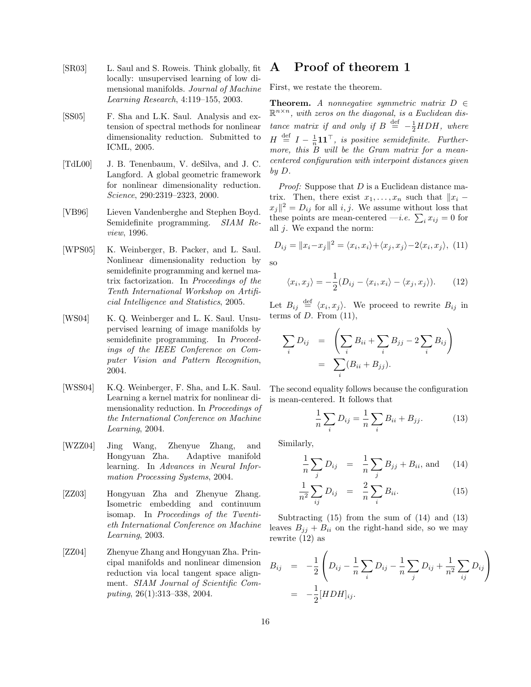- [SR03] L. Saul and S. Roweis. Think globally, fit locally: unsupervised learning of low dimensional manifolds. Journal of Machine Learning Research, 4:119–155, 2003.
- [SS05] F. Sha and L.K. Saul. Analysis and extension of spectral methods for nonlinear dimensionality reduction. Submitted to ICML, 2005.
- [TdL00] J. B. Tenenbaum, V. deSilva, and J. C. Langford. A global geometric framework for nonlinear dimensionality reduction. Science, 290:2319–2323, 2000.
- [VB96] Lieven Vandenberghe and Stephen Boyd. Semidefinite programming. SIAM Review, 1996.
- [WPS05] K. Weinberger, B. Packer, and L. Saul. Nonlinear dimensionality reduction by semidefinite programming and kernel matrix factorization. In Proceedings of the Tenth International Workshop on Artificial Intelligence and Statistics, 2005.
- [WS04] K. Q. Weinberger and L. K. Saul. Unsupervised learning of image manifolds by semidefinite programming. In Proceedings of the IEEE Conference on Computer Vision and Pattern Recognition, 2004.
- [WSS04] K.Q. Weinberger, F. Sha, and L.K. Saul. Learning a kernel matrix for nonlinear dimensionality reduction. In Proceedings of the International Conference on Machine Learning, 2004.
- [WZZ04] Jing Wang, Zhenyue Zhang, and Hongyuan Zha. Adaptive manifold learning. In Advances in Neural Information Processing Systems, 2004.
- [ZZ03] Hongyuan Zha and Zhenyue Zhang. Isometric embedding and continuum isomap. In Proceedings of the Twentieth International Conference on Machine Learning, 2003.
- [ZZ04] Zhenyue Zhang and Hongyuan Zha. Principal manifolds and nonlinear dimension reduction via local tangent space alignment. SIAM Journal of Scientific Computing, 26(1):313–338, 2004.

## A Proof of theorem 1

First, we restate the theorem.

**Theorem.** A nonnegative symmetric matrix  $D \in$  $\mathbb{R}^{n \times n}$ , with zeros on the diagonal, is a Euclidean distance matrix if and only if  $B \stackrel{\text{def}}{=} -\frac{1}{2} H D H$ , where  $H \stackrel{\text{def}}{=} I - \frac{1}{n} \mathbf{1} \mathbf{1}^\top$ , is positive semidefinite. Furthermore, this  $B$  will be the Gram matrix for a meancentered configuration with interpoint distances given by D.

*Proof:* Suppose that  $D$  is a Euclidean distance matrix. Then, there exist  $x_1, \ldots, x_n$  such that  $||x_i$  $x_j||^2 = D_{ij}$  for all i, j. We assume without loss that  $x_j$ || $\bar{z} = D_{ij}$  for an  $i, j$ . We assume without loss that<br>these points are mean-centered —*i.e.*  $\sum_i x_{ij} = 0$  for all  $j$ . We expand the norm:

$$
D_{ij} = ||x_i - x_j||^2 = \langle x_i, x_i \rangle + \langle x_j, x_j \rangle - 2\langle x_i, x_j \rangle, \tag{11}
$$

so

$$
\langle x_i, x_j \rangle = -\frac{1}{2}(D_{ij} - \langle x_i, x_i \rangle - \langle x_j, x_j \rangle). \tag{12}
$$

Let  $B_{ij} \stackrel{\text{def}}{=} \langle x_i, x_j \rangle$ . We proceed to rewrite  $B_{ij}$  in terms of  $D$ . From  $(11)$ ,

$$
\sum_{i} D_{ij} = \left( \sum_{i} B_{ii} + \sum_{i} B_{jj} - 2 \sum_{i} B_{ij} \right)
$$

$$
= \sum_{i} (B_{ii} + B_{jj}).
$$

The second equality follows because the configuration is mean-centered. It follows that

$$
\frac{1}{n}\sum_{i} D_{ij} = \frac{1}{n}\sum_{i} B_{ii} + B_{jj}.
$$
 (13)

Similarly,

$$
\frac{1}{n}\sum_{j} D_{ij} = \frac{1}{n}\sum_{j} B_{jj} + B_{ii}, \text{ and } (14)
$$

$$
\frac{1}{n^2} \sum_{ij} D_{ij} = \frac{2}{n} \sum_{i} B_{ii}.
$$
 (15)

Subtracting (15) from the sum of (14) and (13) leaves  $B_{jj} + B_{ii}$  on the right-hand side, so we may rewrite (12) as

$$
B_{ij} = -\frac{1}{2} \left( D_{ij} - \frac{1}{n} \sum_{i} D_{ij} - \frac{1}{n} \sum_{j} D_{ij} + \frac{1}{n^2} \sum_{ij} D_{ij} \right)
$$
  
= 
$$
-\frac{1}{2} [HDH]_{ij}.
$$